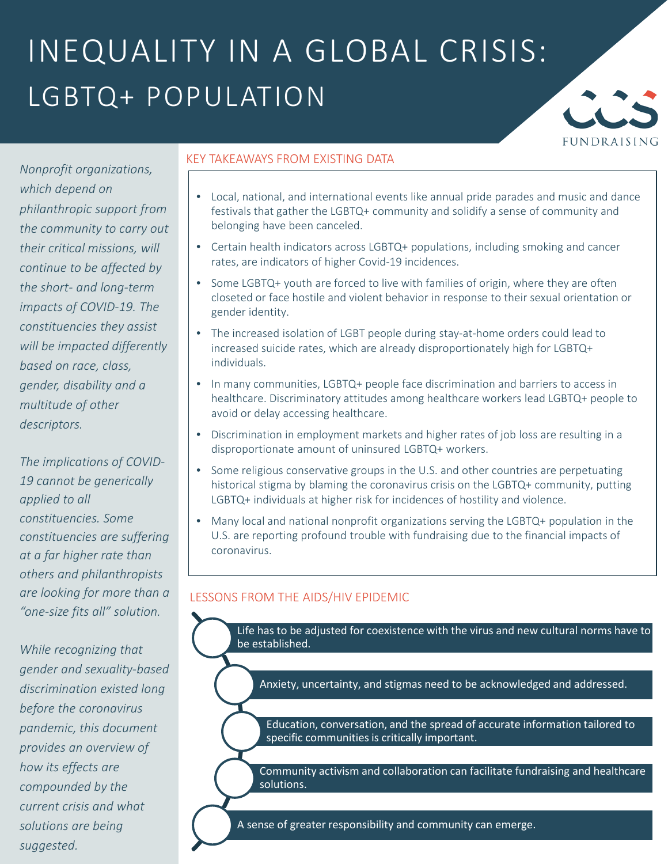## INEQUALITY IN A GLOBAL CRISIS: LGBTQ+ POPULATION



*Nonprofit organizations, which depend on philanthropic support from the community to carry out their critical missions, will continue to be affected by the short- and long-term impacts of COVID-19. The constituencies they assist will be impacted differently based on race, class, gender, disability and a multitude of other descriptors.*

*The implications of COVID-19 cannot be generically applied to all constituencies. Some constituencies are suffering at a far higher rate than others and philanthropists are looking for more than a "one-size fits all" solution.*

*While recognizing that gender and sexuality-based discrimination existed long before the coronavirus pandemic, this document provides an overview of how its effects are compounded by the current crisis and what solutions are being suggested.*

#### KEY TAKEAWAYS FROM EXISTING DATA

- Local, national, and international events like annual pride parades and music and dance festivals that gather the LGBTQ+ community and solidify a sense of community and belonging have been canceled.
- Certain health indicators across LGBTQ+ populations, including smoking and cancer rates, are indicators of higher Covid-19 incidences.
- Some LGBTQ+ youth are forced to live with families of origin, where they are often closeted or face hostile and violent behavior in response to their sexual orientation or gender identity.
- The increased isolation of LGBT people during stay-at-home orders could lead to increased suicide rates, which are already disproportionately high for LGBTQ+ individuals.
- In many communities, LGBTQ+ people face discrimination and barriers to access in healthcare. Discriminatory attitudes among healthcare workers lead LGBTQ+ people to avoid or delay accessing healthcare.
- Discrimination in employment markets and higher rates of job loss are resulting in a disproportionate amount of uninsured LGBTQ+ workers.
- Some religious conservative groups in the U.S. and other countries are perpetuating historical stigma by blaming the coronavirus crisis on the LGBTQ+ community, putting LGBTQ+ individuals at higher risk for incidences of hostility and violence.
- Many local and national nonprofit organizations serving the LGBTQ+ population in the U.S. are reporting profound trouble with fundraising due to the financial impacts of coronavirus.

### LESSONS FROM THE AIDS/HIV EPIDEMIC

Life has to be adjusted for coexistence with the virus and new cultural norms have to be established.

Anxiety, uncertainty, and stigmas need to be acknowledged and addressed.

Education, conversation, and the spread of accurate information tailored to specific communities is critically important.

Community activism and collaboration can facilitate fundraising and healthcare solutions.

A sense of greater responsibility and community can emerge.